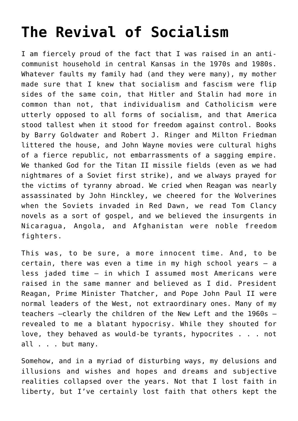## **[The Revival of Socialism](https://intellectualtakeout.org/2020/03/the-revival-of-socialism/)**

I am fiercely proud of the fact that I was raised in an anticommunist household in central Kansas in the 1970s and 1980s. Whatever faults my family had (and they were many), my mother made sure that I knew that socialism and fascism were flip sides of the same coin, that Hitler and Stalin had more in common than not, that individualism and Catholicism were utterly opposed to all forms of socialism, and that America stood tallest when it stood for freedom against control. Books by Barry Goldwater and Robert J. Ringer and Milton Friedman littered the house, and John Wayne movies were cultural highs of a fierce republic, not embarrassments of a sagging empire. We thanked God for the Titan II missile fields (even as we had nightmares of a Soviet first strike), and we always prayed for the victims of tyranny abroad. We cried when Reagan was nearly assassinated by John Hinckley, we cheered for the Wolverines when the Soviets invaded in Red Dawn, we read Tom Clancy novels as a sort of gospel, and we believed the insurgents in Nicaragua, Angola, and Afghanistan were noble freedom fighters.

This was, to be sure, a more innocent time. And, to be certain, there was even a time in my high school years – a less jaded time – in which I assumed most Americans were raised in the same manner and believed as I did. President Reagan, Prime Minister Thatcher, and Pope John Paul II were normal leaders of the West, not extraordinary ones. Many of my teachers –clearly the children of the New Left and the 1960s – revealed to me a blatant hypocrisy. While they shouted for love, they behaved as would-be tyrants, hypocrites . . . not all . . . but many.

Somehow, and in a myriad of disturbing ways, my delusions and illusions and wishes and hopes and dreams and subjective realities collapsed over the years. Not that I lost faith in liberty, but I've certainly lost faith that others kept the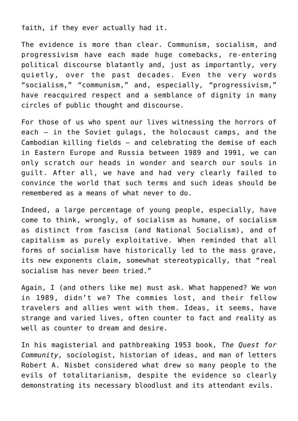faith, if they ever actually had it.

The evidence is more than clear. Communism, socialism, and progressivism have each made huge comebacks, re-entering political discourse blatantly and, just as importantly, very quietly, over the past decades. Even the very words "socialism," "communism," and, especially, "progressivism," have reacquired respect and a semblance of dignity in many circles of public thought and discourse.

For those of us who spent our lives witnessing the horrors of each – in the Soviet gulags, the holocaust camps, and the Cambodian killing fields – and celebrating the demise of each in Eastern Europe and Russia between 1989 and 1991, we can only scratch our heads in wonder and search our souls in guilt. After all, we have and had very clearly failed to convince the world that such terms and such ideas should be remembered as a means of what never to do.

Indeed, a large percentage of young people, especially, have come to think, wrongly, of socialism as humane, of socialism as distinct from fascism (and National Socialism), and of capitalism as purely exploitative. When reminded that all forms of socialism have historically led to the mass grave, its new exponents claim, somewhat stereotypically, that "real socialism has never been tried."

Again, I (and others like me) must ask. What happened? We won in 1989, didn't we? The commies lost, and their fellow travelers and allies went with them. Ideas, it seems, have strange and varied lives, often counter to fact and reality as well as counter to dream and desire.

In his magisterial and pathbreaking 1953 book, *The Quest for Community*, sociologist, historian of ideas, and man of letters Robert A. Nisbet considered what drew so many people to the evils of totalitarianism, despite the evidence so clearly demonstrating its necessary bloodlust and its attendant evils.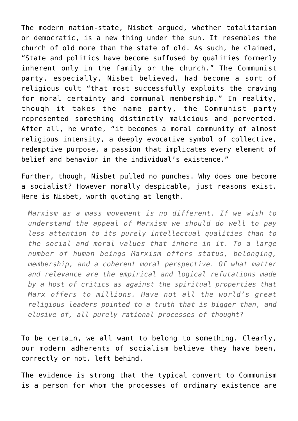The modern nation-state, Nisbet argued, whether totalitarian or democratic, is a new thing under the sun. It resembles the church of old more than the state of old. As such, he claimed, "State and politics have become suffused by qualities formerly inherent only in the family or the church." The Communist party, especially, Nisbet believed, had become a sort of religious cult "that most successfully exploits the craving for moral certainty and communal membership." In reality, though it takes the name party, the Communist party represented something distinctly malicious and perverted. After all, he wrote, "it becomes a moral community of almost religious intensity, a deeply evocative symbol of collective, redemptive purpose, a passion that implicates every element of belief and behavior in the individual's existence."

Further, though, Nisbet pulled no punches. Why does one become a socialist? However morally despicable, just reasons exist. Here is Nisbet, worth quoting at length.

*Marxism as a mass movement is no different. If we wish to understand the appeal of Marxism we should do well to pay less attention to its purely intellectual qualities than to the social and moral values that inhere in it. To a large number of human beings Marxism offers status, belonging, membership, and a coherent moral perspective. Of what matter and relevance are the empirical and logical refutations made by a host of critics as against the spiritual properties that Marx offers to millions. Have not all the world's great religious leaders pointed to a truth that is bigger than, and elusive of, all purely rational processes of thought?*

To be certain, we all want to belong to something. Clearly, our modern adherents of socialism believe they have been, correctly or not, left behind.

The evidence is strong that the typical convert to Communism is a person for whom the processes of ordinary existence are